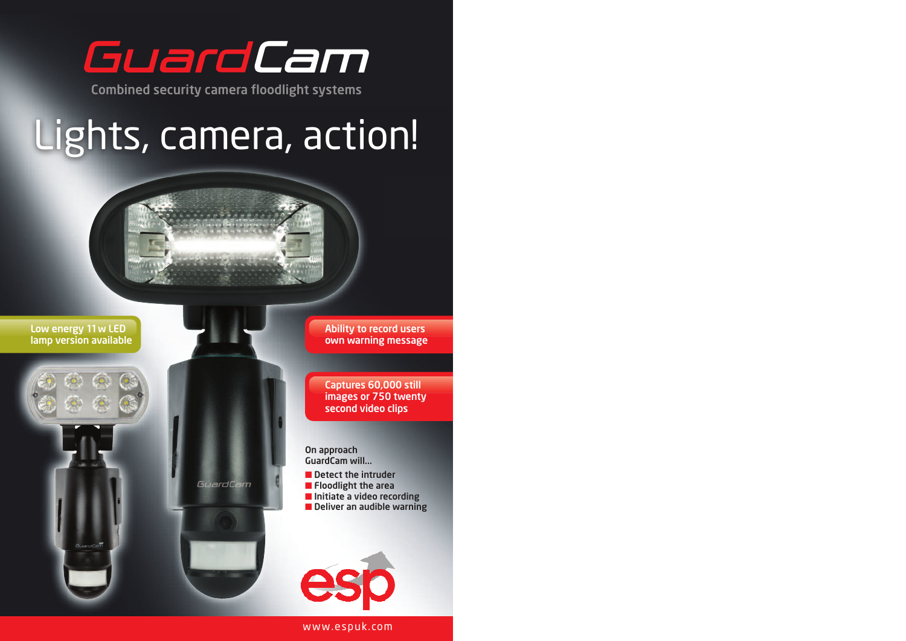

**Combined security camera floodlight systems**

# Lights, camera, action!

GuardCam



**Ability to record users own warning message**

**Captures 60,000 still images or 750 twenty second video clips**

**On approach GuardCam will...**

**■ Detect the intruder**

- **■ Floodlight the area**
- **■ Initiate a video recording**
- **■ Deliver an audible warning**



www.espuk.com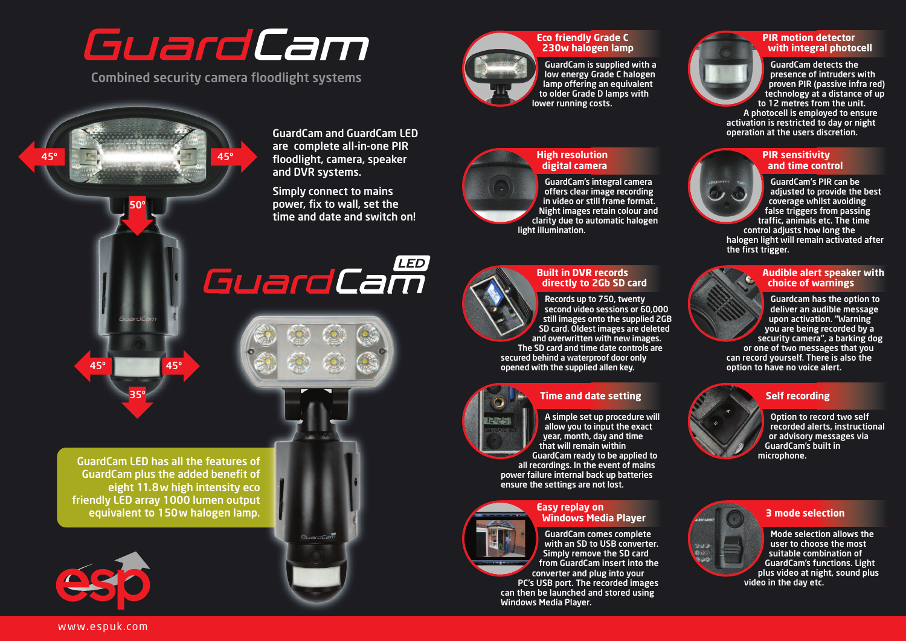## GuardCam

**Combined security camera floodlight systems**



**Eco friendly Grade C 230w halogen lamp**

**GuardCam is supplied with a low energy Grade C halogen lamp offering an equivalent to older Grade D lamps with lower running costs.**



#### **PIR motion detector with integral photocell**

**GuardCam detects the presence of intruders with proven PIR (passive infra red) technology at a distance of up to 12 metres from the unit.**

**A photocell is employed to ensure activation is restricted to day or night operation at the users discretion.**

#### **PIR sensitivity and time control**

**GuardCam's PIR can be adjusted to provide the best coverage whilst avoiding false triggers from passing traffic, animals etc. The time**

**control adjusts how long the halogen light will remain activated after the first trigger.**

#### **Audible alert speaker with choice of warnings**

**Guardcam has the option to deliver an audible message upon activation. "Warning you are being recorded by a security camera", a barking dog**

**or one of two messages that you can record yourself. There is also the option to have no voice alert.**

#### **Self recording**

**Option to record two self recorded alerts, instructional or advisory messages via GuardCam's built in microphone.**



#### **3 mode selection**

**Mode selection allows the user to choose the most suitable combination of GuardCam's functions. Light plus video at night, sound plus video in the day etc.**



#### **High resolution digital camera**

**GuardCam's integral camera offers clear image recording in video or still frame format. Night images retain colour and clarity due to automatic halogen light illumination.**



#### **Built in DVR records directly to 2Gb SD card**

**Records up to 750, twenty second video sessions or 60,000 still images onto the supplied 2GB SD card. Oldest images are deleted and overwritten with new images. The SD card and time date controls are secured behind a waterproof door only opened with the supplied allen key.**



#### **Time and date setting A simple set up procedure will**

**allow you to input the exact year, month, day and time that will remain within GuardCam ready to be applied to all recordings. In the event of mains power failure internal back up batteries**



### **Windows Media Player**

**GuardCam comes complete with an SD to USB converter. Simply remove the SD card from GuardCam insert into the converter and plug into your**

**PC's USB port. The recorded images can then be launched and stored using Windows Media Player.**



**ensure the settings are not lost. Easy replay on**



**GuardCam LED has all the features of GuardCam plus the added benefit of eight 11.8w high intensity eco friendly LED array 1000 lumen output equivalent to 150w halogen lamp.**

**45º 45º**

**50º**

**45º 45º**

**35º**







**GuardCam and GuardCam LED are complete all-in-one PIR floodlight, camera, speaker**



**and DVR systems.**

**Simply connect to mains power, fix to wall, set the time and date and switch on!**